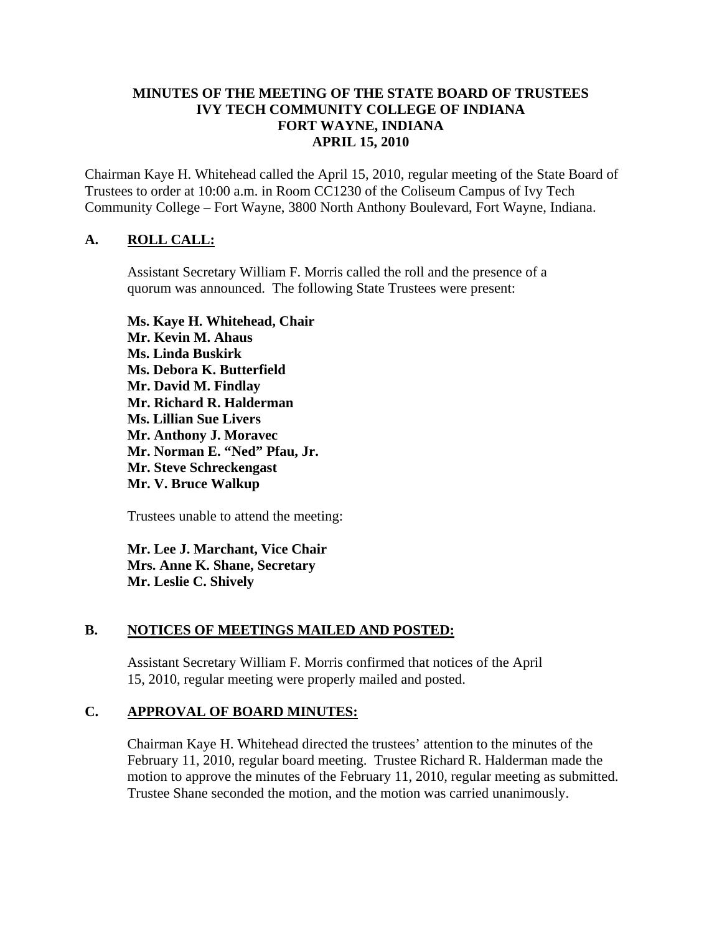### **MINUTES OF THE MEETING OF THE STATE BOARD OF TRUSTEES IVY TECH COMMUNITY COLLEGE OF INDIANA FORT WAYNE, INDIANA APRIL 15, 2010**

Chairman Kaye H. Whitehead called the April 15, 2010, regular meeting of the State Board of Trustees to order at 10:00 a.m. in Room CC1230 of the Coliseum Campus of Ivy Tech Community College – Fort Wayne, 3800 North Anthony Boulevard, Fort Wayne, Indiana.

# **A. ROLL CALL:**

Assistant Secretary William F. Morris called the roll and the presence of a quorum was announced. The following State Trustees were present:

**Ms. Kaye H. Whitehead, Chair Mr. Kevin M. Ahaus Ms. Linda Buskirk Ms. Debora K. Butterfield Mr. David M. Findlay Mr. Richard R. Halderman Ms. Lillian Sue Livers Mr. Anthony J. Moravec Mr. Norman E. "Ned" Pfau, Jr. Mr. Steve Schreckengast Mr. V. Bruce Walkup** 

Trustees unable to attend the meeting:

**Mr. Lee J. Marchant, Vice Chair Mrs. Anne K. Shane, Secretary Mr. Leslie C. Shively** 

#### **B. NOTICES OF MEETINGS MAILED AND POSTED:**

Assistant Secretary William F. Morris confirmed that notices of the April 15, 2010, regular meeting were properly mailed and posted.

#### **C. APPROVAL OF BOARD MINUTES:**

Chairman Kaye H. Whitehead directed the trustees' attention to the minutes of the February 11, 2010, regular board meeting. Trustee Richard R. Halderman made the motion to approve the minutes of the February 11, 2010, regular meeting as submitted. Trustee Shane seconded the motion, and the motion was carried unanimously.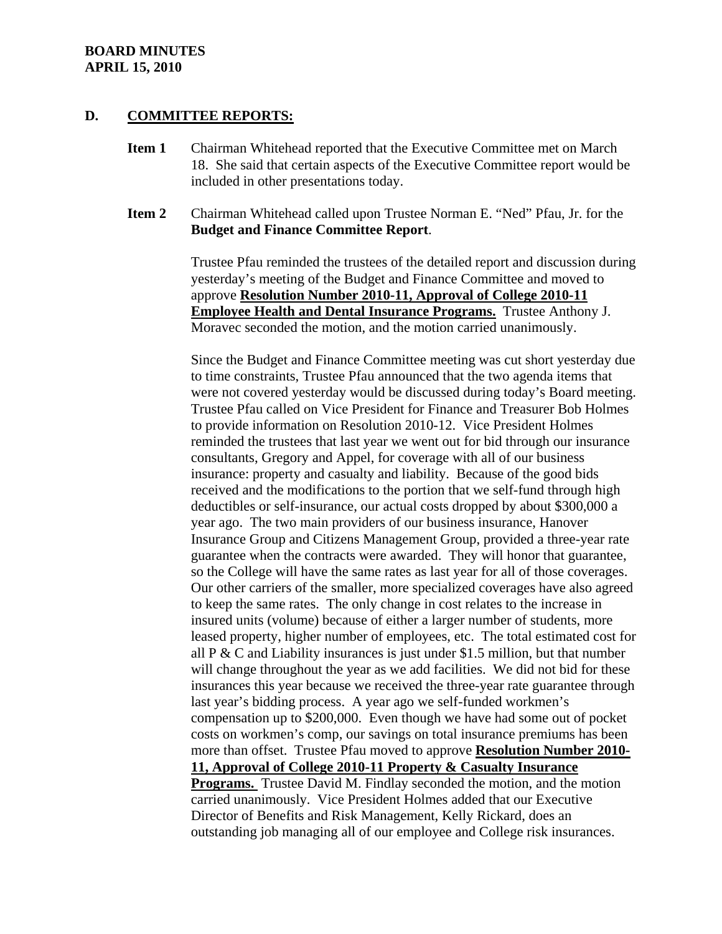#### **D. COMMITTEE REPORTS:**

- **Item 1** Chairman Whitehead reported that the Executive Committee met on March 18. She said that certain aspects of the Executive Committee report would be included in other presentations today.
- **Item 2** Chairman Whitehead called upon Trustee Norman E. "Ned" Pfau, Jr. for the **Budget and Finance Committee Report**.

Trustee Pfau reminded the trustees of the detailed report and discussion during yesterday's meeting of the Budget and Finance Committee and moved to approve **Resolution Number 2010-11, Approval of College 2010-11 Employee Health and Dental Insurance Programs.** Trustee Anthony J. Moravec seconded the motion, and the motion carried unanimously.

Since the Budget and Finance Committee meeting was cut short yesterday due to time constraints, Trustee Pfau announced that the two agenda items that were not covered yesterday would be discussed during today's Board meeting. Trustee Pfau called on Vice President for Finance and Treasurer Bob Holmes to provide information on Resolution 2010-12. Vice President Holmes reminded the trustees that last year we went out for bid through our insurance consultants, Gregory and Appel, for coverage with all of our business insurance: property and casualty and liability. Because of the good bids received and the modifications to the portion that we self-fund through high deductibles or self-insurance, our actual costs dropped by about \$300,000 a year ago. The two main providers of our business insurance, Hanover Insurance Group and Citizens Management Group, provided a three-year rate guarantee when the contracts were awarded. They will honor that guarantee, so the College will have the same rates as last year for all of those coverages. Our other carriers of the smaller, more specialized coverages have also agreed to keep the same rates. The only change in cost relates to the increase in insured units (volume) because of either a larger number of students, more leased property, higher number of employees, etc. The total estimated cost for all  $P & C$  and Liability insurances is just under \$1.5 million, but that number will change throughout the year as we add facilities. We did not bid for these insurances this year because we received the three-year rate guarantee through last year's bidding process. A year ago we self-funded workmen's compensation up to \$200,000. Even though we have had some out of pocket costs on workmen's comp, our savings on total insurance premiums has been more than offset. Trustee Pfau moved to approve **Resolution Number 2010- 11, Approval of College 2010-11 Property & Casualty Insurance Programs.** Trustee David M. Findlay seconded the motion, and the motion carried unanimously. Vice President Holmes added that our Executive

Director of Benefits and Risk Management, Kelly Rickard, does an outstanding job managing all of our employee and College risk insurances.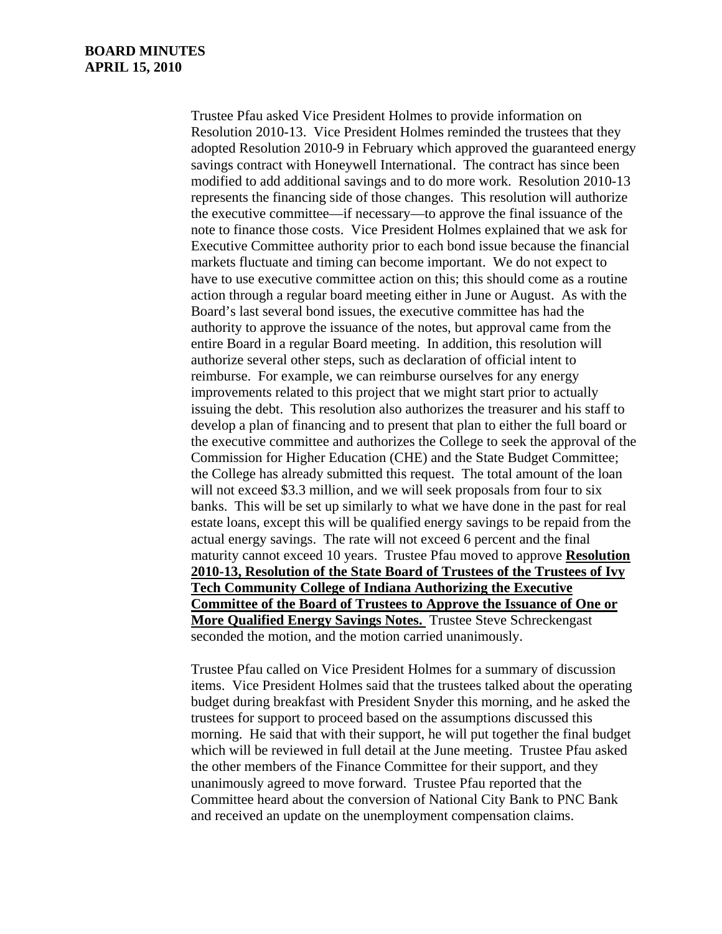Trustee Pfau asked Vice President Holmes to provide information on Resolution 2010-13. Vice President Holmes reminded the trustees that they adopted Resolution 2010-9 in February which approved the guaranteed energy savings contract with Honeywell International. The contract has since been modified to add additional savings and to do more work. Resolution 2010-13 represents the financing side of those changes. This resolution will authorize the executive committee—if necessary—to approve the final issuance of the note to finance those costs. Vice President Holmes explained that we ask for Executive Committee authority prior to each bond issue because the financial markets fluctuate and timing can become important. We do not expect to have to use executive committee action on this; this should come as a routine action through a regular board meeting either in June or August. As with the Board's last several bond issues, the executive committee has had the authority to approve the issuance of the notes, but approval came from the entire Board in a regular Board meeting. In addition, this resolution will authorize several other steps, such as declaration of official intent to reimburse. For example, we can reimburse ourselves for any energy improvements related to this project that we might start prior to actually issuing the debt. This resolution also authorizes the treasurer and his staff to develop a plan of financing and to present that plan to either the full board or the executive committee and authorizes the College to seek the approval of the Commission for Higher Education (CHE) and the State Budget Committee; the College has already submitted this request. The total amount of the loan will not exceed \$3.3 million, and we will seek proposals from four to six banks. This will be set up similarly to what we have done in the past for real estate loans, except this will be qualified energy savings to be repaid from the actual energy savings. The rate will not exceed 6 percent and the final maturity cannot exceed 10 years. Trustee Pfau moved to approve **Resolution 2010-13, Resolution of the State Board of Trustees of the Trustees of Ivy Tech Community College of Indiana Authorizing the Executive Committee of the Board of Trustees to Approve the Issuance of One or More Qualified Energy Savings Notes.** Trustee Steve Schreckengast seconded the motion, and the motion carried unanimously.

Trustee Pfau called on Vice President Holmes for a summary of discussion items. Vice President Holmes said that the trustees talked about the operating budget during breakfast with President Snyder this morning, and he asked the trustees for support to proceed based on the assumptions discussed this morning. He said that with their support, he will put together the final budget which will be reviewed in full detail at the June meeting. Trustee Pfau asked the other members of the Finance Committee for their support, and they unanimously agreed to move forward. Trustee Pfau reported that the Committee heard about the conversion of National City Bank to PNC Bank and received an update on the unemployment compensation claims.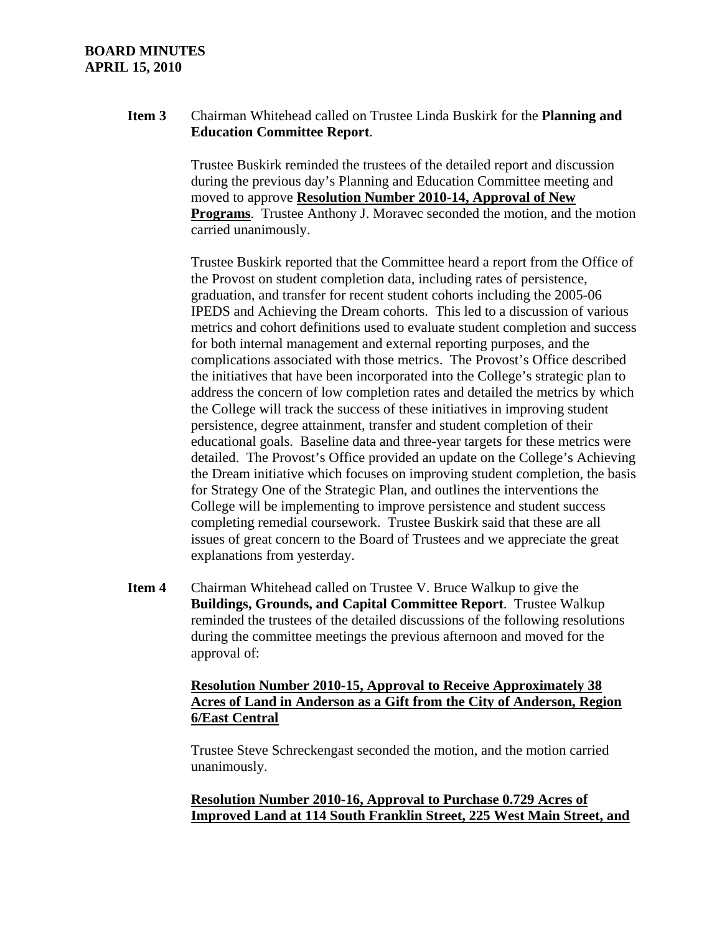## **Item 3** Chairman Whitehead called on Trustee Linda Buskirk for the **Planning and Education Committee Report**.

Trustee Buskirk reminded the trustees of the detailed report and discussion during the previous day's Planning and Education Committee meeting and moved to approve **Resolution Number 2010-14, Approval of New Programs**. Trustee Anthony J. Moravec seconded the motion, and the motion carried unanimously.

Trustee Buskirk reported that the Committee heard a report from the Office of the Provost on student completion data, including rates of persistence, graduation, and transfer for recent student cohorts including the 2005-06 IPEDS and Achieving the Dream cohorts. This led to a discussion of various metrics and cohort definitions used to evaluate student completion and success for both internal management and external reporting purposes, and the complications associated with those metrics. The Provost's Office described the initiatives that have been incorporated into the College's strategic plan to address the concern of low completion rates and detailed the metrics by which the College will track the success of these initiatives in improving student persistence, degree attainment, transfer and student completion of their educational goals. Baseline data and three-year targets for these metrics were detailed. The Provost's Office provided an update on the College's Achieving the Dream initiative which focuses on improving student completion, the basis for Strategy One of the Strategic Plan, and outlines the interventions the College will be implementing to improve persistence and student success completing remedial coursework. Trustee Buskirk said that these are all issues of great concern to the Board of Trustees and we appreciate the great explanations from yesterday.

**Item 4** Chairman Whitehead called on Trustee V. Bruce Walkup to give the **Buildings, Grounds, and Capital Committee Report**. Trustee Walkup reminded the trustees of the detailed discussions of the following resolutions during the committee meetings the previous afternoon and moved for the approval of:

## **Resolution Number 2010-15, Approval to Receive Approximately 38 Acres of Land in Anderson as a Gift from the City of Anderson, Region 6/East Central**

Trustee Steve Schreckengast seconded the motion, and the motion carried unanimously.

# **Resolution Number 2010-16, Approval to Purchase 0.729 Acres of Improved Land at 114 South Franklin Street, 225 West Main Street, and**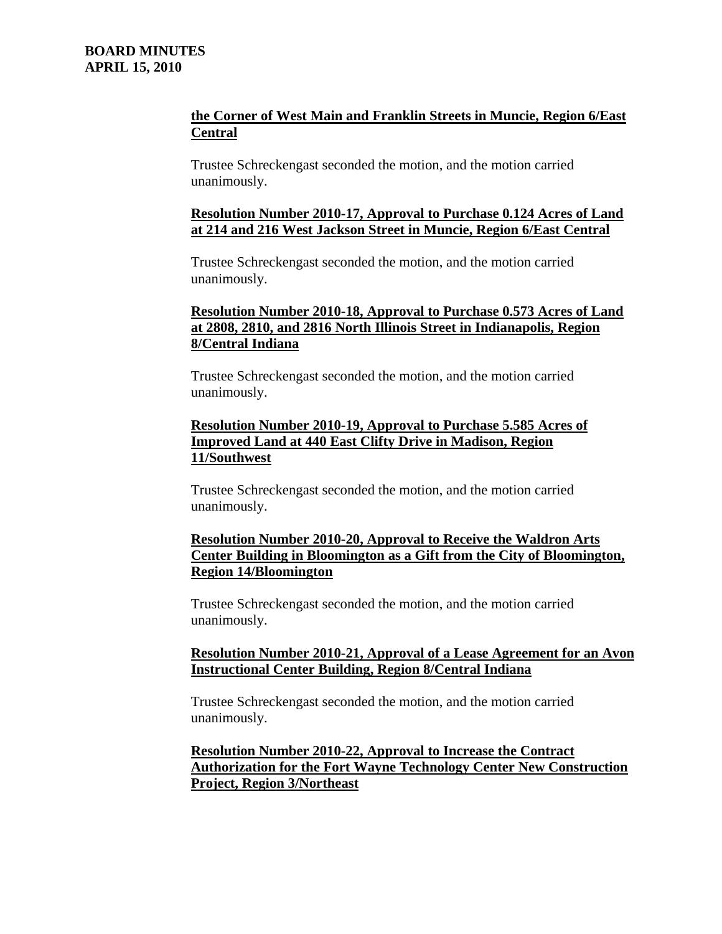# **the Corner of West Main and Franklin Streets in Muncie, Region 6/East Central**

Trustee Schreckengast seconded the motion, and the motion carried unanimously.

## **Resolution Number 2010-17, Approval to Purchase 0.124 Acres of Land at 214 and 216 West Jackson Street in Muncie, Region 6/East Central**

Trustee Schreckengast seconded the motion, and the motion carried unanimously.

# **Resolution Number 2010-18, Approval to Purchase 0.573 Acres of Land at 2808, 2810, and 2816 North Illinois Street in Indianapolis, Region 8/Central Indiana**

Trustee Schreckengast seconded the motion, and the motion carried unanimously.

# **Resolution Number 2010-19, Approval to Purchase 5.585 Acres of Improved Land at 440 East Clifty Drive in Madison, Region 11/Southwest**

Trustee Schreckengast seconded the motion, and the motion carried unanimously.

# **Resolution Number 2010-20, Approval to Receive the Waldron Arts Center Building in Bloomington as a Gift from the City of Bloomington, Region 14/Bloomington**

Trustee Schreckengast seconded the motion, and the motion carried unanimously.

## **Resolution Number 2010-21, Approval of a Lease Agreement for an Avon Instructional Center Building, Region 8/Central Indiana**

Trustee Schreckengast seconded the motion, and the motion carried unanimously.

# **Resolution Number 2010-22, Approval to Increase the Contract Authorization for the Fort Wayne Technology Center New Construction Project, Region 3/Northeast**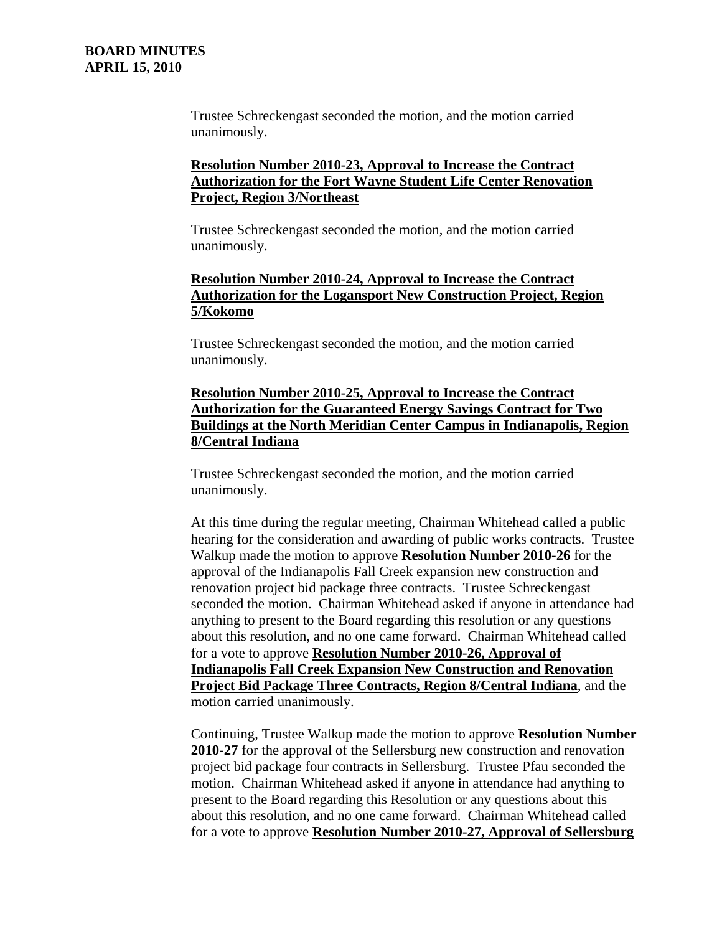Trustee Schreckengast seconded the motion, and the motion carried unanimously.

## **Resolution Number 2010-23, Approval to Increase the Contract Authorization for the Fort Wayne Student Life Center Renovation Project, Region 3/Northeast**

Trustee Schreckengast seconded the motion, and the motion carried unanimously.

# **Resolution Number 2010-24, Approval to Increase the Contract Authorization for the Logansport New Construction Project, Region 5/Kokomo**

Trustee Schreckengast seconded the motion, and the motion carried unanimously.

## **Resolution Number 2010-25, Approval to Increase the Contract Authorization for the Guaranteed Energy Savings Contract for Two Buildings at the North Meridian Center Campus in Indianapolis, Region 8/Central Indiana**

Trustee Schreckengast seconded the motion, and the motion carried unanimously.

At this time during the regular meeting, Chairman Whitehead called a public hearing for the consideration and awarding of public works contracts. Trustee Walkup made the motion to approve **Resolution Number 2010-26** for the approval of the Indianapolis Fall Creek expansion new construction and renovation project bid package three contracts. Trustee Schreckengast seconded the motion. Chairman Whitehead asked if anyone in attendance had anything to present to the Board regarding this resolution or any questions about this resolution, and no one came forward. Chairman Whitehead called for a vote to approve **Resolution Number 2010-26, Approval of Indianapolis Fall Creek Expansion New Construction and Renovation Project Bid Package Three Contracts, Region 8/Central Indiana**, and the motion carried unanimously.

Continuing, Trustee Walkup made the motion to approve **Resolution Number 2010-27** for the approval of the Sellersburg new construction and renovation project bid package four contracts in Sellersburg. Trustee Pfau seconded the motion. Chairman Whitehead asked if anyone in attendance had anything to present to the Board regarding this Resolution or any questions about this about this resolution, and no one came forward. Chairman Whitehead called for a vote to approve **Resolution Number 2010-27, Approval of Sellersburg**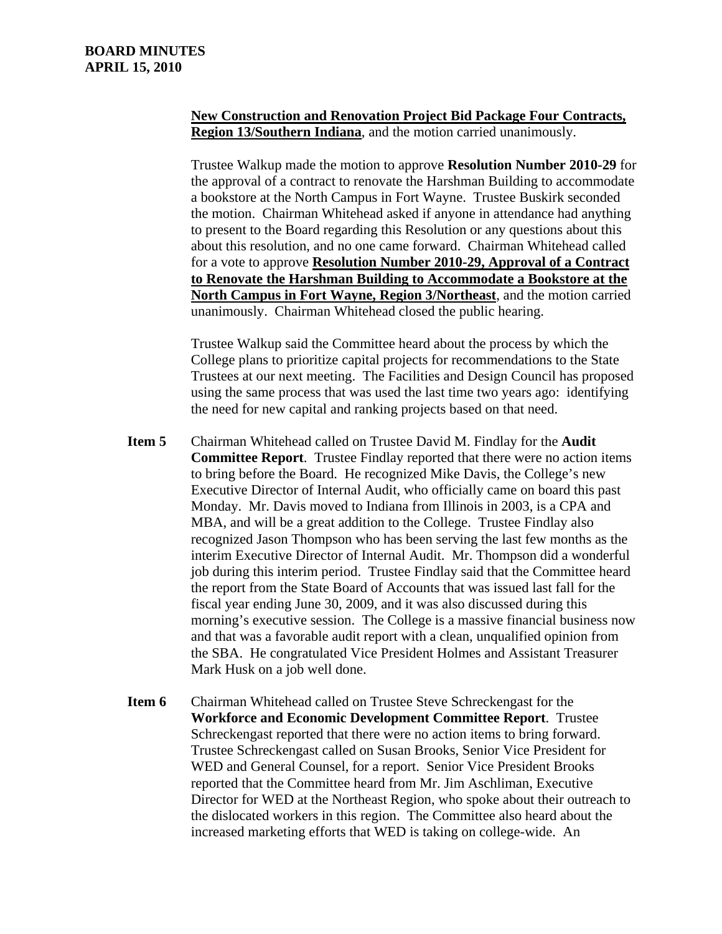# **New Construction and Renovation Project Bid Package Four Contracts, Region 13/Southern Indiana**, and the motion carried unanimously.

Trustee Walkup made the motion to approve **Resolution Number 2010-29** for the approval of a contract to renovate the Harshman Building to accommodate a bookstore at the North Campus in Fort Wayne. Trustee Buskirk seconded the motion. Chairman Whitehead asked if anyone in attendance had anything to present to the Board regarding this Resolution or any questions about this about this resolution, and no one came forward. Chairman Whitehead called for a vote to approve **Resolution Number 2010-29, Approval of a Contract to Renovate the Harshman Building to Accommodate a Bookstore at the North Campus in Fort Wayne, Region 3/Northeast**, and the motion carried unanimously. Chairman Whitehead closed the public hearing.

Trustee Walkup said the Committee heard about the process by which the College plans to prioritize capital projects for recommendations to the State Trustees at our next meeting. The Facilities and Design Council has proposed using the same process that was used the last time two years ago: identifying the need for new capital and ranking projects based on that need.

- **Item 5** Chairman Whitehead called on Trustee David M. Findlay for the **Audit Committee Report**. Trustee Findlay reported that there were no action items to bring before the Board. He recognized Mike Davis, the College's new Executive Director of Internal Audit, who officially came on board this past Monday. Mr. Davis moved to Indiana from Illinois in 2003, is a CPA and MBA, and will be a great addition to the College. Trustee Findlay also recognized Jason Thompson who has been serving the last few months as the interim Executive Director of Internal Audit. Mr. Thompson did a wonderful job during this interim period. Trustee Findlay said that the Committee heard the report from the State Board of Accounts that was issued last fall for the fiscal year ending June 30, 2009, and it was also discussed during this morning's executive session. The College is a massive financial business now and that was a favorable audit report with a clean, unqualified opinion from the SBA. He congratulated Vice President Holmes and Assistant Treasurer Mark Husk on a job well done.
- **Item 6** Chairman Whitehead called on Trustee Steve Schreckengast for the **Workforce and Economic Development Committee Report**. Trustee Schreckengast reported that there were no action items to bring forward. Trustee Schreckengast called on Susan Brooks, Senior Vice President for WED and General Counsel, for a report. Senior Vice President Brooks reported that the Committee heard from Mr. Jim Aschliman, Executive Director for WED at the Northeast Region, who spoke about their outreach to the dislocated workers in this region. The Committee also heard about the increased marketing efforts that WED is taking on college-wide. An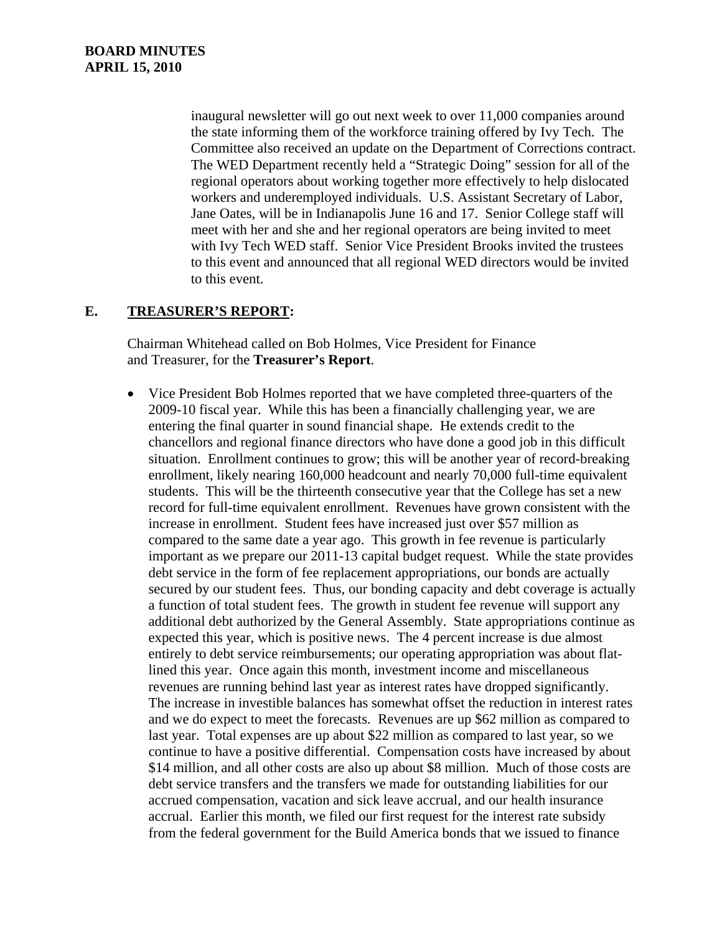inaugural newsletter will go out next week to over 11,000 companies around the state informing them of the workforce training offered by Ivy Tech. The Committee also received an update on the Department of Corrections contract. The WED Department recently held a "Strategic Doing" session for all of the regional operators about working together more effectively to help dislocated workers and underemployed individuals. U.S. Assistant Secretary of Labor, Jane Oates, will be in Indianapolis June 16 and 17. Senior College staff will meet with her and she and her regional operators are being invited to meet with Ivy Tech WED staff. Senior Vice President Brooks invited the trustees to this event and announced that all regional WED directors would be invited to this event.

# **E. TREASURER'S REPORT:**

Chairman Whitehead called on Bob Holmes, Vice President for Finance and Treasurer, for the **Treasurer's Report**.

• Vice President Bob Holmes reported that we have completed three-quarters of the 2009-10 fiscal year. While this has been a financially challenging year, we are entering the final quarter in sound financial shape. He extends credit to the chancellors and regional finance directors who have done a good job in this difficult situation. Enrollment continues to grow; this will be another year of record-breaking enrollment, likely nearing 160,000 headcount and nearly 70,000 full-time equivalent students. This will be the thirteenth consecutive year that the College has set a new record for full-time equivalent enrollment. Revenues have grown consistent with the increase in enrollment. Student fees have increased just over \$57 million as compared to the same date a year ago. This growth in fee revenue is particularly important as we prepare our 2011-13 capital budget request. While the state provides debt service in the form of fee replacement appropriations, our bonds are actually secured by our student fees. Thus, our bonding capacity and debt coverage is actually a function of total student fees. The growth in student fee revenue will support any additional debt authorized by the General Assembly. State appropriations continue as expected this year, which is positive news. The 4 percent increase is due almost entirely to debt service reimbursements; our operating appropriation was about flatlined this year. Once again this month, investment income and miscellaneous revenues are running behind last year as interest rates have dropped significantly. The increase in investible balances has somewhat offset the reduction in interest rates and we do expect to meet the forecasts. Revenues are up \$62 million as compared to last year. Total expenses are up about \$22 million as compared to last year, so we continue to have a positive differential. Compensation costs have increased by about \$14 million, and all other costs are also up about \$8 million. Much of those costs are debt service transfers and the transfers we made for outstanding liabilities for our accrued compensation, vacation and sick leave accrual, and our health insurance accrual. Earlier this month, we filed our first request for the interest rate subsidy from the federal government for the Build America bonds that we issued to finance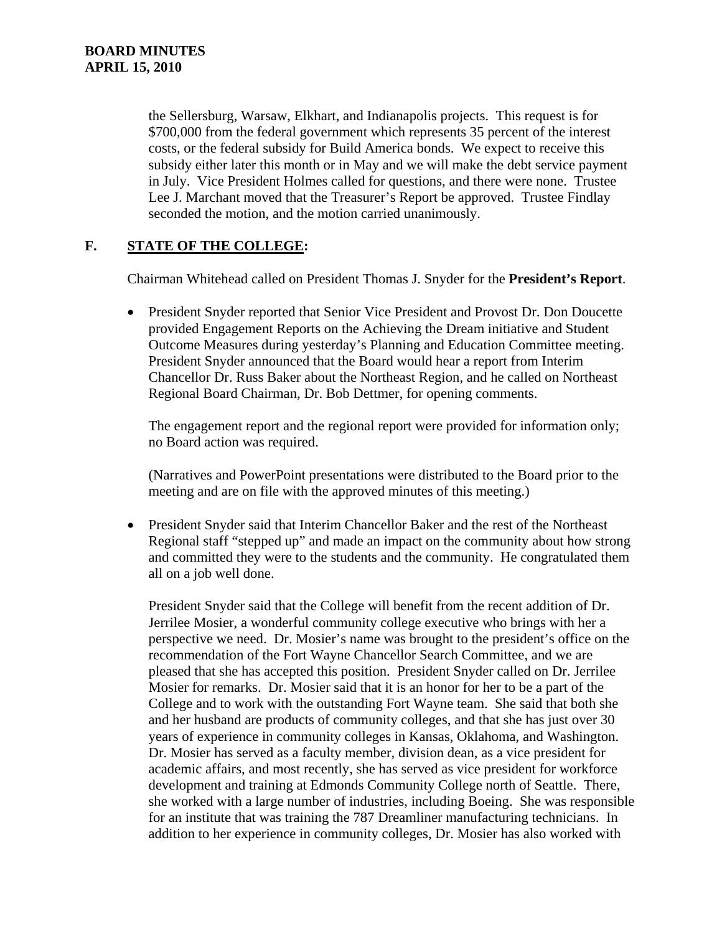the Sellersburg, Warsaw, Elkhart, and Indianapolis projects. This request is for \$700,000 from the federal government which represents 35 percent of the interest costs, or the federal subsidy for Build America bonds. We expect to receive this subsidy either later this month or in May and we will make the debt service payment in July. Vice President Holmes called for questions, and there were none. Trustee Lee J. Marchant moved that the Treasurer's Report be approved. Trustee Findlay seconded the motion, and the motion carried unanimously.

# **F. STATE OF THE COLLEGE:**

Chairman Whitehead called on President Thomas J. Snyder for the **President's Report**.

• President Snyder reported that Senior Vice President and Provost Dr. Don Doucette provided Engagement Reports on the Achieving the Dream initiative and Student Outcome Measures during yesterday's Planning and Education Committee meeting. President Snyder announced that the Board would hear a report from Interim Chancellor Dr. Russ Baker about the Northeast Region, and he called on Northeast Regional Board Chairman, Dr. Bob Dettmer, for opening comments.

The engagement report and the regional report were provided for information only; no Board action was required.

(Narratives and PowerPoint presentations were distributed to the Board prior to the meeting and are on file with the approved minutes of this meeting.)

• President Snyder said that Interim Chancellor Baker and the rest of the Northeast Regional staff "stepped up" and made an impact on the community about how strong and committed they were to the students and the community. He congratulated them all on a job well done.

President Snyder said that the College will benefit from the recent addition of Dr. Jerrilee Mosier, a wonderful community college executive who brings with her a perspective we need. Dr. Mosier's name was brought to the president's office on the recommendation of the Fort Wayne Chancellor Search Committee, and we are pleased that she has accepted this position. President Snyder called on Dr. Jerrilee Mosier for remarks. Dr. Mosier said that it is an honor for her to be a part of the College and to work with the outstanding Fort Wayne team. She said that both she and her husband are products of community colleges, and that she has just over 30 years of experience in community colleges in Kansas, Oklahoma, and Washington. Dr. Mosier has served as a faculty member, division dean, as a vice president for academic affairs, and most recently, she has served as vice president for workforce development and training at Edmonds Community College north of Seattle. There, she worked with a large number of industries, including Boeing. She was responsible for an institute that was training the 787 Dreamliner manufacturing technicians. In addition to her experience in community colleges, Dr. Mosier has also worked with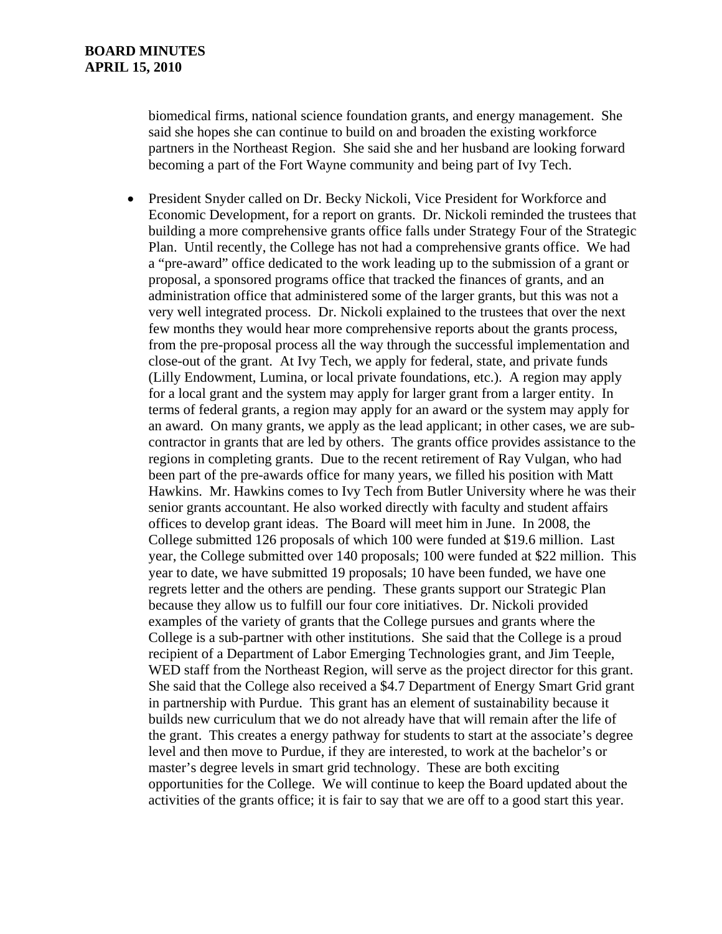biomedical firms, national science foundation grants, and energy management. She said she hopes she can continue to build on and broaden the existing workforce partners in the Northeast Region. She said she and her husband are looking forward becoming a part of the Fort Wayne community and being part of Ivy Tech.

• President Snyder called on Dr. Becky Nickoli, Vice President for Workforce and Economic Development, for a report on grants. Dr. Nickoli reminded the trustees that building a more comprehensive grants office falls under Strategy Four of the Strategic Plan. Until recently, the College has not had a comprehensive grants office. We had a "pre-award" office dedicated to the work leading up to the submission of a grant or proposal, a sponsored programs office that tracked the finances of grants, and an administration office that administered some of the larger grants, but this was not a very well integrated process. Dr. Nickoli explained to the trustees that over the next few months they would hear more comprehensive reports about the grants process, from the pre-proposal process all the way through the successful implementation and close-out of the grant. At Ivy Tech, we apply for federal, state, and private funds (Lilly Endowment, Lumina, or local private foundations, etc.). A region may apply for a local grant and the system may apply for larger grant from a larger entity. In terms of federal grants, a region may apply for an award or the system may apply for an award. On many grants, we apply as the lead applicant; in other cases, we are subcontractor in grants that are led by others. The grants office provides assistance to the regions in completing grants. Due to the recent retirement of Ray Vulgan, who had been part of the pre-awards office for many years, we filled his position with Matt Hawkins. Mr. Hawkins comes to Ivy Tech from Butler University where he was their senior grants accountant. He also worked directly with faculty and student affairs offices to develop grant ideas. The Board will meet him in June. In 2008, the College submitted 126 proposals of which 100 were funded at \$19.6 million. Last year, the College submitted over 140 proposals; 100 were funded at \$22 million. This year to date, we have submitted 19 proposals; 10 have been funded, we have one regrets letter and the others are pending. These grants support our Strategic Plan because they allow us to fulfill our four core initiatives. Dr. Nickoli provided examples of the variety of grants that the College pursues and grants where the College is a sub-partner with other institutions. She said that the College is a proud recipient of a Department of Labor Emerging Technologies grant, and Jim Teeple, WED staff from the Northeast Region, will serve as the project director for this grant. She said that the College also received a \$4.7 Department of Energy Smart Grid grant in partnership with Purdue. This grant has an element of sustainability because it builds new curriculum that we do not already have that will remain after the life of the grant. This creates a energy pathway for students to start at the associate's degree level and then move to Purdue, if they are interested, to work at the bachelor's or master's degree levels in smart grid technology. These are both exciting opportunities for the College. We will continue to keep the Board updated about the activities of the grants office; it is fair to say that we are off to a good start this year.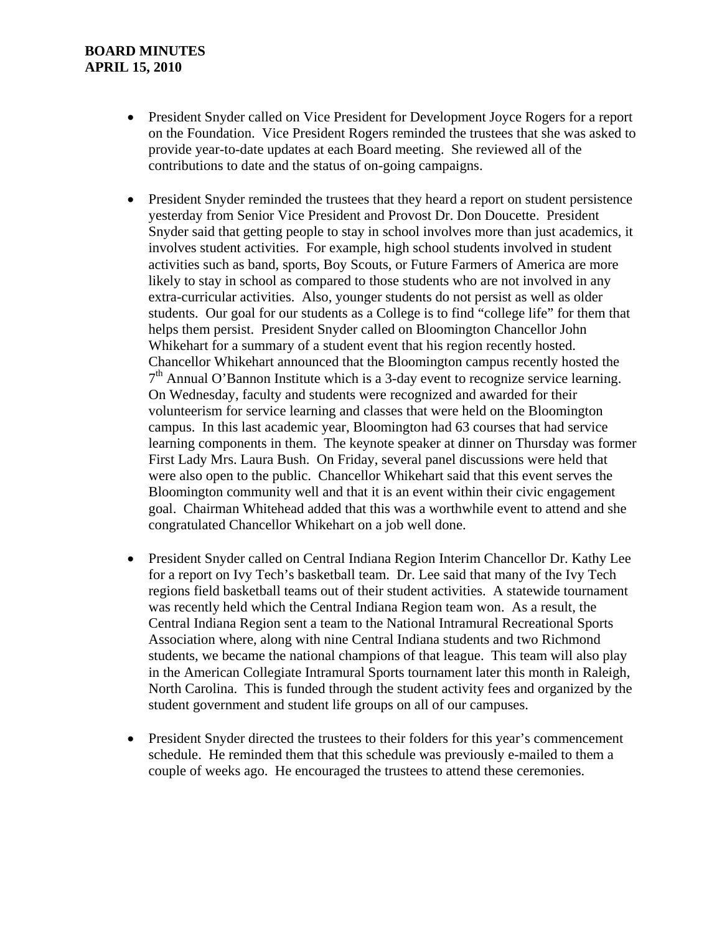- President Snyder called on Vice President for Development Joyce Rogers for a report on the Foundation. Vice President Rogers reminded the trustees that she was asked to provide year-to-date updates at each Board meeting. She reviewed all of the contributions to date and the status of on-going campaigns.
- President Snyder reminded the trustees that they heard a report on student persistence yesterday from Senior Vice President and Provost Dr. Don Doucette. President Snyder said that getting people to stay in school involves more than just academics, it involves student activities. For example, high school students involved in student activities such as band, sports, Boy Scouts, or Future Farmers of America are more likely to stay in school as compared to those students who are not involved in any extra-curricular activities. Also, younger students do not persist as well as older students. Our goal for our students as a College is to find "college life" for them that helps them persist. President Snyder called on Bloomington Chancellor John Whikehart for a summary of a student event that his region recently hosted. Chancellor Whikehart announced that the Bloomington campus recently hosted the  $7<sup>th</sup>$  Annual O'Bannon Institute which is a 3-day event to recognize service learning. On Wednesday, faculty and students were recognized and awarded for their volunteerism for service learning and classes that were held on the Bloomington campus. In this last academic year, Bloomington had 63 courses that had service learning components in them. The keynote speaker at dinner on Thursday was former First Lady Mrs. Laura Bush. On Friday, several panel discussions were held that were also open to the public. Chancellor Whikehart said that this event serves the Bloomington community well and that it is an event within their civic engagement goal. Chairman Whitehead added that this was a worthwhile event to attend and she congratulated Chancellor Whikehart on a job well done.
- President Snyder called on Central Indiana Region Interim Chancellor Dr. Kathy Lee for a report on Ivy Tech's basketball team. Dr. Lee said that many of the Ivy Tech regions field basketball teams out of their student activities. A statewide tournament was recently held which the Central Indiana Region team won. As a result, the Central Indiana Region sent a team to the National Intramural Recreational Sports Association where, along with nine Central Indiana students and two Richmond students, we became the national champions of that league. This team will also play in the American Collegiate Intramural Sports tournament later this month in Raleigh, North Carolina. This is funded through the student activity fees and organized by the student government and student life groups on all of our campuses.
- President Snyder directed the trustees to their folders for this year's commencement schedule. He reminded them that this schedule was previously e-mailed to them a couple of weeks ago. He encouraged the trustees to attend these ceremonies.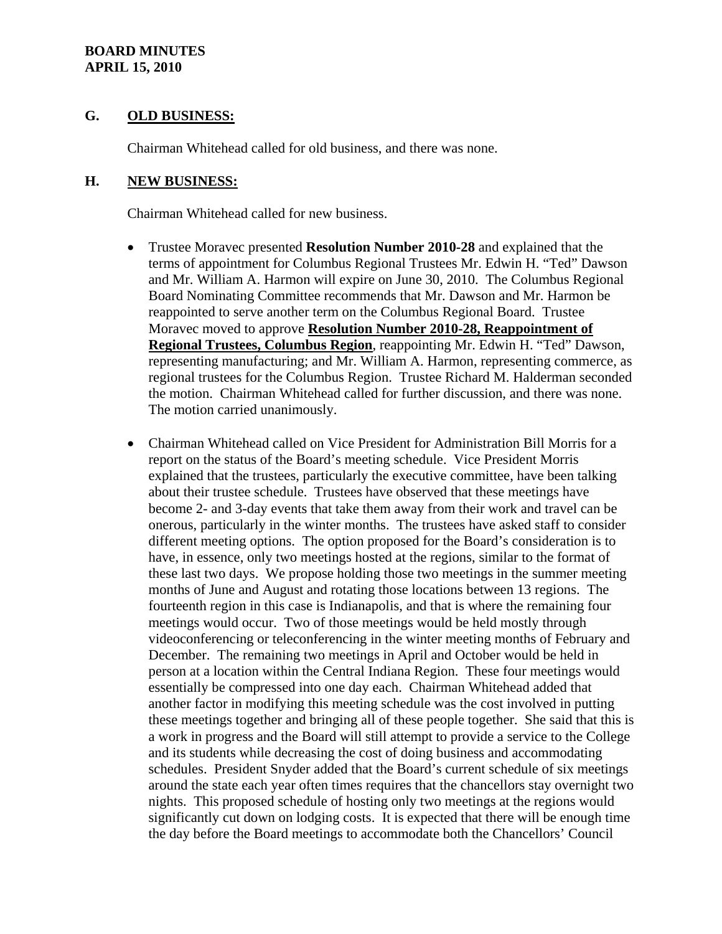### **G. OLD BUSINESS:**

Chairman Whitehead called for old business, and there was none.

### **H. NEW BUSINESS:**

Chairman Whitehead called for new business.

- Trustee Moravec presented **Resolution Number 2010-28** and explained that the terms of appointment for Columbus Regional Trustees Mr. Edwin H. "Ted" Dawson and Mr. William A. Harmon will expire on June 30, 2010. The Columbus Regional Board Nominating Committee recommends that Mr. Dawson and Mr. Harmon be reappointed to serve another term on the Columbus Regional Board. Trustee Moravec moved to approve **Resolution Number 2010-28, Reappointment of Regional Trustees, Columbus Region**, reappointing Mr. Edwin H. "Ted" Dawson, representing manufacturing; and Mr. William A. Harmon, representing commerce, as regional trustees for the Columbus Region. Trustee Richard M. Halderman seconded the motion. Chairman Whitehead called for further discussion, and there was none. The motion carried unanimously.
- Chairman Whitehead called on Vice President for Administration Bill Morris for a report on the status of the Board's meeting schedule. Vice President Morris explained that the trustees, particularly the executive committee, have been talking about their trustee schedule. Trustees have observed that these meetings have become 2- and 3-day events that take them away from their work and travel can be onerous, particularly in the winter months. The trustees have asked staff to consider different meeting options. The option proposed for the Board's consideration is to have, in essence, only two meetings hosted at the regions, similar to the format of these last two days. We propose holding those two meetings in the summer meeting months of June and August and rotating those locations between 13 regions. The fourteenth region in this case is Indianapolis, and that is where the remaining four meetings would occur. Two of those meetings would be held mostly through videoconferencing or teleconferencing in the winter meeting months of February and December. The remaining two meetings in April and October would be held in person at a location within the Central Indiana Region. These four meetings would essentially be compressed into one day each. Chairman Whitehead added that another factor in modifying this meeting schedule was the cost involved in putting these meetings together and bringing all of these people together. She said that this is a work in progress and the Board will still attempt to provide a service to the College and its students while decreasing the cost of doing business and accommodating schedules. President Snyder added that the Board's current schedule of six meetings around the state each year often times requires that the chancellors stay overnight two nights. This proposed schedule of hosting only two meetings at the regions would significantly cut down on lodging costs. It is expected that there will be enough time the day before the Board meetings to accommodate both the Chancellors' Council